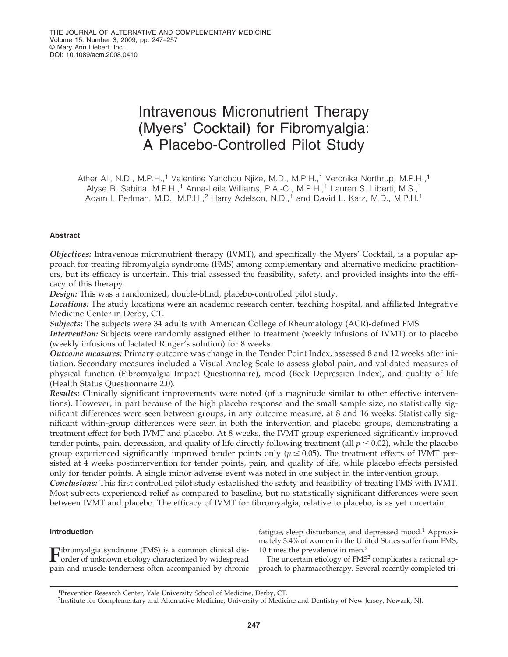# Intravenous Micronutrient Therapy (Myers' Cocktail) for Fibromyalgia: A Placebo-Controlled Pilot Study

Ather Ali, N.D., M.P.H.,<sup>1</sup> Valentine Yanchou Njike, M.D., M.P.H.,<sup>1</sup> Veronika Northrup, M.P.H.,<sup>1</sup> Alyse B. Sabina, M.P.H.,<sup>1</sup> Anna-Leila Williams, P.A.-C., M.P.H.,<sup>1</sup> Lauren S. Liberti, M.S.,<sup>1</sup> Adam I. Perlman, M.D., M.P.H.,<sup>2</sup> Harry Adelson, N.D.,<sup>1</sup> and David L. Katz, M.D., M.P.H.<sup>1</sup>

# **Abstract**

*Objectives:* Intravenous micronutrient therapy (IVMT), and specifically the Myers' Cocktail, is a popular approach for treating fibromyalgia syndrome (FMS) among complementary and alternative medicine practitioners, but its efficacy is uncertain. This trial assessed the feasibility, safety, and provided insights into the efficacy of this therapy.

*Design:* This was a randomized, double-blind, placebo-controlled pilot study.

*Locations:* The study locations were an academic research center, teaching hospital, and affiliated Integrative Medicine Center in Derby, CT.

*Subjects:* The subjects were 34 adults with American College of Rheumatology (ACR)-defined FMS.

*Intervention:* Subjects were randomly assigned either to treatment (weekly infusions of IVMT) or to placebo (weekly infusions of lactated Ringer's solution) for 8 weeks.

*Outcome measures:* Primary outcome was change in the Tender Point Index, assessed 8 and 12 weeks after initiation. Secondary measures included a Visual Analog Scale to assess global pain, and validated measures of physical function (Fibromyalgia Impact Questionnaire), mood (Beck Depression Index), and quality of life (Health Status Questionnaire 2.0).

*Results:* Clinically significant improvements were noted (of a magnitude similar to other effective interventions). However, in part because of the high placebo response and the small sample size, no statistically significant differences were seen between groups, in any outcome measure, at 8 and 16 weeks. Statistically significant within-group differences were seen in both the intervention and placebo groups, demonstrating a treatment effect for both IVMT and placebo. At 8 weeks, the IVMT group experienced significantly improved tender points, pain, depression, and quality of life directly following treatment (all  $p \le 0.02$ ), while the placebo group experienced significantly improved tender points only ( $p \leq 0.05$ ). The treatment effects of IVMT persisted at 4 weeks postintervention for tender points, pain, and quality of life, while placebo effects persisted only for tender points. A single minor adverse event was noted in one subject in the intervention group.

*Conclusions:* This first controlled pilot study established the safety and feasibility of treating FMS with IVMT. Most subjects experienced relief as compared to baseline, but no statistically significant differences were seen between IVMT and placebo. The efficacy of IVMT for fibromyalgia, relative to placebo, is as yet uncertain.

# **Introduction**

**F**ibromyalgia syndrome (FMS) is a common clinical disorder of unknown etiology characterized by widespread pain and muscle tenderness often accompanied by chronic fatigue, sleep disturbance, and depressed mood.<sup>1</sup> Approximately 3.4% of women in the United States suffer from FMS, 10 times the prevalence in men.2

The uncertain etiology of FMS<sup>2</sup> complicates a rational approach to pharmacotherapy. Several recently completed tri-

<sup>1</sup>Prevention Research Center, Yale University School of Medicine, Derby, CT.

<sup>2</sup>Institute for Complementary and Alternative Medicine, University of Medicine and Dentistry of New Jersey, Newark, NJ.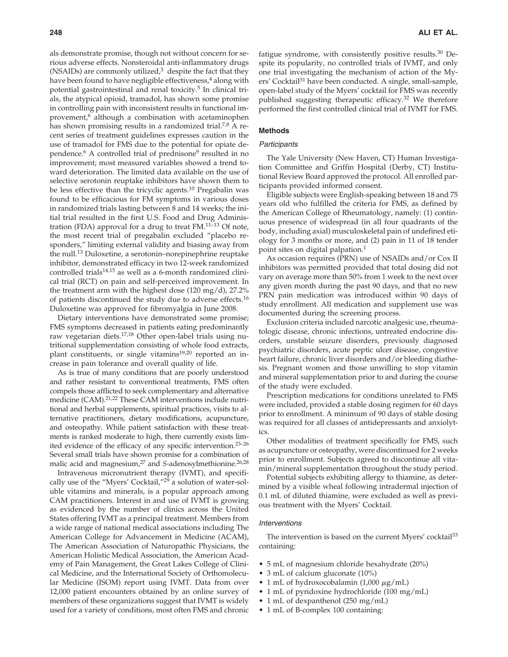als demonstrate promise, though not without concern for serious adverse effects. Nonsteroidal anti-inflammatory drugs (NSAIDs) are commonly utilized, $3$  despite the fact that they have been found to have negligible effectiveness, $4$  along with potential gastrointestinal and renal toxicity.5 In clinical trials, the atypical opioid, tramadol, has shown some promise in controlling pain with inconsistent results in functional improvement,<sup>6</sup> although a combination with acetaminophen has shown promising results in a randomized trial.<sup>7,8</sup> A recent series of treatment guidelines expresses caution in the use of tramadol for FMS due to the potential for opiate dependence.<sup>6</sup> A controlled trial of prednisone<sup>9</sup> resulted in no improvement; most measured variables showed a trend toward deterioration. The limited data available on the use of selective serotonin reuptake inhibitors have shown them to be less effective than the tricyclic agents.<sup>10</sup> Pregabalin was found to be efficacious for FM symptoms in various doses in randomized trials lasting between 8 and 14 weeks; the initial trial resulted in the first U.S. Food and Drug Administration (FDA) approval for a drug to treat FM.<sup>11-13</sup> Of note, the most recent trial of pregabalin excluded "placebo responders," limiting external validity and biasing away from the null.<sup>13</sup> Duloxetine, a serotonin–norepinephrine reuptake inhibitor, demonstrated efficacy in two 12-week randomized controlled trials $14,15$  as well as a 6-month randomized clinical trial (RCT) on pain and self-perceived improvement. In the treatment arm with the highest dose (120 mg/d), 27.2% of patients discontinued the study due to adverse effects.16 Duloxetine was approved for fibromyalgia in June 2008.

Dietary interventions have demonstrated some promise; FMS symptoms decreased in patients eating predominantly raw vegetarian diets.17,18 Other open-label trials using nutritional supplementation consisting of whole food extracts, plant constituents, or single vitamins<sup>19,20</sup> reported an increase in pain tolerance and overall quality of life.

As is true of many conditions that are poorly understood and rather resistant to conventional treatments, FMS often compels those afflicted to seek complementary and alternative medicine (CAM).<sup>21,22</sup> These CAM interventions include nutritional and herbal supplements, spiritual practices, visits to alternative practitioners, dietary modifications, acupuncture, and osteopathy. While patient satisfaction with these treatments is ranked moderate to high, there currently exists limited evidence of the efficacy of any specific intervention.23–26 Several small trials have shown promise for a combination of malic acid and magnesium,<sup>27</sup> and *S*-adenosylmethionine.<sup>26,28</sup>

Intravenous micronutrient therapy (IVMT), and specifically use of the "Myers' Cocktail,"29 a solution of water-soluble vitamins and minerals, is a popular approach among CAM practitioners. Interest in and use of IVMT is growing as evidenced by the number of clinics across the United States offering IVMT as a principal treatment. Members from a wide range of national medical associations including The American College for Advancement in Medicine (ACAM), The American Association of Naturopathic Physicians, the American Holistic Medical Association, the American Academy of Pain Management, the Great Lakes College of Clinical Medicine, and the International Society of Orthomolecular Medicine (ISOM) report using IVMT. Data from over 12,000 patient encounters obtained by an online survey of members of these organizations suggest that IVMT is widely used for a variety of conditions, most often FMS and chronic

fatigue syndrome, with consistently positive results.<sup>30</sup> Despite its popularity, no controlled trials of IVMT, and only one trial investigating the mechanism of action of the Myers' Cocktail<sup>31</sup> have been conducted. A single, small-sample, open-label study of the Myers' cocktail for FMS was recently published suggesting therapeutic efficacy.<sup>32</sup> We therefore performed the first controlled clinical trial of IVMT for FMS.

# **Methods**

## *Participants*

The Yale University (New Haven, CT) Human Investigation Committee and Griffin Hospital (Derby, CT) Institutional Review Board approved the protocol. All enrolled participants provided informed consent.

Eligible subjects were English-speaking between 18 and 75 years old who fulfilled the criteria for FMS, as defined by the American College of Rheumatology, namely: (1) continuous presence of widespread (in all four quadrants of the body, including axial) musculoskeletal pain of undefined etiology for 3 months or more, and (2) pain in 11 of 18 tender point sites on digital palpation.<sup>1</sup>

As occasion requires (PRN) use of NSAIDs and/or Cox II inhibitors was permitted provided that total dosing did not vary on average more than 50% from 1 week to the next over any given month during the past 90 days, and that no new PRN pain medication was introduced within 90 days of study enrollment. All medication and supplement use was documented during the screening process.

Exclusion criteria included narcotic analgesic use, rheumatologic disease, chronic infections, untreated endocrine disorders, unstable seizure disorders, previously diagnosed psychiatric disorders, acute peptic ulcer disease, congestive heart failure, chronic liver disorders and/or bleeding diathesis. Pregnant women and those unwilling to stop vitamin and mineral supplementation prior to and during the course of the study were excluded.

Prescription medications for conditions unrelated to FMS were included, provided a stable dosing regimen for 60 days prior to enrollment. A minimum of 90 days of stable dosing was required for all classes of antidepressants and anxiolytics.

Other modalities of treatment specifically for FMS, such as acupuncture or osteopathy, were discontinued for 2 weeks prior to enrollment. Subjects agreed to discontinue all vitamin/mineral supplementation throughout the study period.

Potential subjects exhibiting allergy to thiamine, as determined by a visible wheal following intradermal injection of 0.1 mL of diluted thiamine, were excluded as well as previous treatment with the Myers' Cocktail.

#### *Interventions*

The intervention is based on the current Myers' cocktail<sup>33</sup> containing:

- 5 mL of magnesium chloride hexahydrate (20%)
- 3 mL of calcium gluconate (10%)
- 1 mL of hydroxocobalamin (1,000  $\mu$ g/mL)
- 1 mL of pyridoxine hydrochloride (100 mg/mL)
- 1 mL of dexpanthenol (250 mg/mL)
- 1 mL of B-complex 100 containing: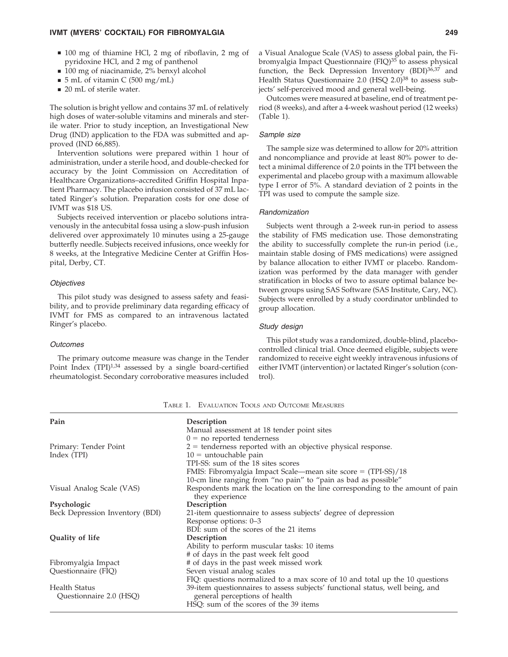#### **IVMT (MYERS' COCKTAIL) FOR FIBROMYALGIA 249**

- 100 mg of thiamine HCl, 2 mg of riboflavin, 2 mg of pyridoxine HCl, and 2 mg of panthenol
- 100 mg of niacinamide, 2% benxyl alcohol
- $\blacksquare$  5 mL of vitamin C (500 mg/mL)
- 20 mL of sterile water.

The solution is bright yellow and contains 37 mL of relatively high doses of water-soluble vitamins and minerals and sterile water. Prior to study inception, an Investigational New Drug (IND) application to the FDA was submitted and approved (IND 66,885).

Intervention solutions were prepared within 1 hour of administration, under a sterile hood, and double-checked for accuracy by the Joint Commission on Accreditation of Healthcare Organizations–accredited Griffin Hospital Inpatient Pharmacy. The placebo infusion consisted of 37 mL lactated Ringer's solution. Preparation costs for one dose of IVMT was \$18 US.

Subjects received intervention or placebo solutions intravenously in the antecubital fossa using a slow-push infusion delivered over approximately 10 minutes using a 25-gauge butterfly needle. Subjects received infusions, once weekly for 8 weeks, at the Integrative Medicine Center at Griffin Hospital, Derby, CT.

### *Objectives*

This pilot study was designed to assess safety and feasibility, and to provide preliminary data regarding efficacy of IVMT for FMS as compared to an intravenous lactated Ringer's placebo.

#### *Outcomes*

The primary outcome measure was change in the Tender Point Index  $(TPI)^{1,34}$  assessed by a single board-certified rheumatologist. Secondary corroborative measures included a Visual Analogue Scale (VAS) to assess global pain, the Fibromyalgia Impact Questionnaire (FIQ)<sup>35</sup> to assess physical function, the Beck Depression Inventory  $(BDI)^{3\bar{6},3\bar{7}}$  and Health Status Questionnaire 2.0 (HSQ 2.0)<sup>38</sup> to assess subjects' self-perceived mood and general well-being.

Outcomes were measured at baseline, end of treatment period (8 weeks), and after a 4-week washout period (12 weeks) (Table 1).

#### *Sample size*

The sample size was determined to allow for 20% attrition and noncompliance and provide at least 80% power to detect a minimal difference of 2.0 points in the TPI between the experimental and placebo group with a maximum allowable type I error of 5%. A standard deviation of 2 points in the TPI was used to compute the sample size.

#### *Randomization*

Subjects went through a 2-week run-in period to assess the stability of FMS medication use. Those demonstrating the ability to successfully complete the run-in period (i.e., maintain stable dosing of FMS medications) were assigned by balance allocation to either IVMT or placebo. Randomization was performed by the data manager with gender stratification in blocks of two to assure optimal balance between groups using SAS Software (SAS Institute, Cary, NC). Subjects were enrolled by a study coordinator unblinded to group allocation.

# *Study design*

This pilot study was a randomized, double-blind, placebocontrolled clinical trial. Once deemed eligible, subjects were randomized to receive eight weekly intravenous infusions of either IVMT (intervention) or lactated Ringer's solution (control).

| Pain                            | Description                                                                                      |
|---------------------------------|--------------------------------------------------------------------------------------------------|
|                                 | Manual assessment at 18 tender point sites                                                       |
|                                 | $0 =$ no reported tenderness                                                                     |
| Primary: Tender Point           | $2$ = tenderness reported with an objective physical response.                                   |
| Index (TPI)                     | $10 =$ untouchable pain                                                                          |
|                                 | TPI-SS: sum of the 18 sites scores                                                               |
|                                 | FMIS: Fibromyalgia Impact Scale—mean site score = $(TPI-SS)/18$                                  |
|                                 | 10-cm line ranging from "no pain" to "pain as bad as possible"                                   |
| Visual Analog Scale (VAS)       | Respondents mark the location on the line corresponding to the amount of pain<br>they experience |
| Psychologic                     | Description                                                                                      |
| Beck Depression Inventory (BDI) | 21-item questionnaire to assess subjects' degree of depression                                   |
|                                 | Response options: 0–3                                                                            |
|                                 | BDI: sum of the scores of the 21 items                                                           |
| Quality of life                 | Description                                                                                      |
|                                 | Ability to perform muscular tasks: 10 items                                                      |
|                                 | # of days in the past week felt good                                                             |
| Fibromyalgia Impact             | # of days in the past week missed work                                                           |
| Questionnaire (FIQ)             | Seven visual analog scales                                                                       |
|                                 | FIQ: questions normalized to a max score of 10 and total up the 10 questions                     |
| Health Status                   | 39-item questionnaires to assess subjects' functional status, well being, and                    |
| Questionnaire 2.0 (HSQ)         | general perceptions of health                                                                    |
|                                 | HSQ: sum of the scores of the 39 items                                                           |

TABLE 1. EVALUATION TOOLS AND OUTCOME MEASURES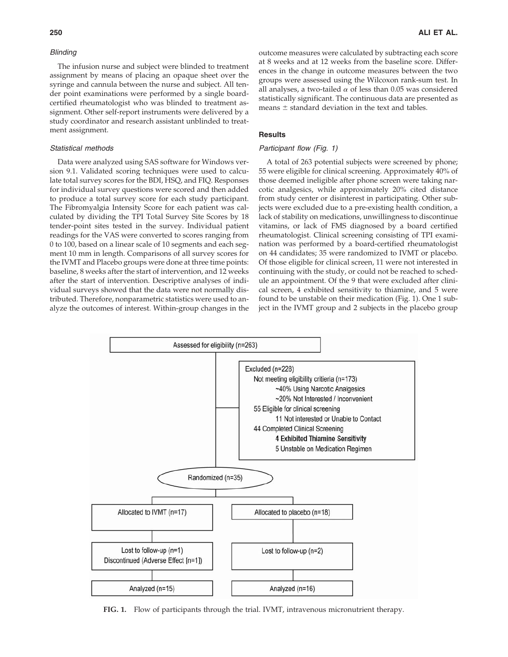#### *Blinding*

The infusion nurse and subject were blinded to treatment assignment by means of placing an opaque sheet over the syringe and cannula between the nurse and subject. All tender point examinations were performed by a single boardcertified rheumatologist who was blinded to treatment assignment. Other self-report instruments were delivered by a study coordinator and research assistant unblinded to treatment assignment.

#### *Statistical methods*

Data were analyzed using SAS software for Windows version 9.1. Validated scoring techniques were used to calculate total survey scores for the BDI, HSQ, and FIQ. Responses for individual survey questions were scored and then added to produce a total survey score for each study participant. The Fibromyalgia Intensity Score for each patient was calculated by dividing the TPI Total Survey Site Scores by 18 tender-point sites tested in the survey. Individual patient readings for the VAS were converted to scores ranging from 0 to 100, based on a linear scale of 10 segments and each segment 10 mm in length. Comparisons of all survey scores for the IVMT and Placebo groups were done at three time points: baseline, 8 weeks after the start of intervention, and 12 weeks after the start of intervention. Descriptive analyses of individual surveys showed that the data were not normally distributed. Therefore, nonparametric statistics were used to analyze the outcomes of interest. Within-group changes in the outcome measures were calculated by subtracting each score at 8 weeks and at 12 weeks from the baseline score. Differences in the change in outcome measures between the two groups were assessed using the Wilcoxon rank-sum test. In all analyses, a two-tailed  $\alpha$  of less than 0.05 was considered statistically significant. The continuous data are presented as means  $\pm$  standard deviation in the text and tables.

# **Results**

## *Participant flow (Fig. 1)*

A total of 263 potential subjects were screened by phone; 55 were eligible for clinical screening. Approximately 40% of those deemed ineligible after phone screen were taking narcotic analgesics, while approximately 20% cited distance from study center or disinterest in participating. Other subjects were excluded due to a pre-existing health condition, a lack of stability on medications, unwillingness to discontinue vitamins, or lack of FMS diagnosed by a board certified rheumatologist. Clinical screening consisting of TPI examination was performed by a board-certified rheumatologist on 44 candidates; 35 were randomized to IVMT or placebo. Of those eligible for clinical screen, 11 were not interested in continuing with the study, or could not be reached to schedule an appointment. Of the 9 that were excluded after clinical screen, 4 exhibited sensitivity to thiamine, and 5 were found to be unstable on their medication (Fig. 1). One 1 subject in the IVMT group and 2 subjects in the placebo group



**FIG. 1.** Flow of participants through the trial. IVMT, intravenous micronutrient therapy.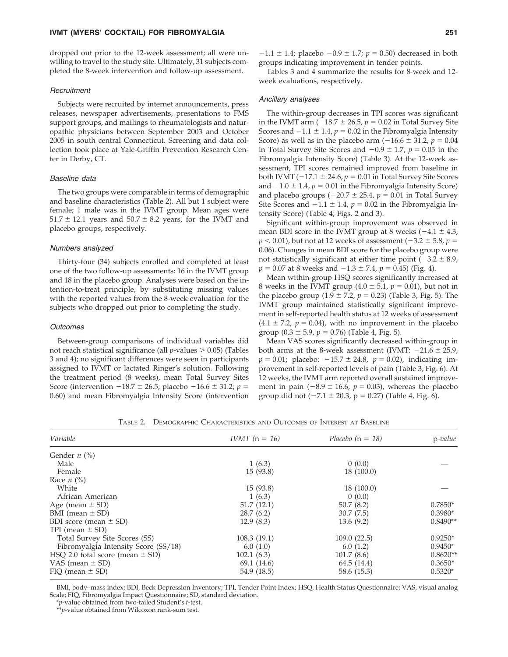#### **IVMT (MYERS' COCKTAIL) FOR FIBROMYALGIA 251**

dropped out prior to the 12-week assessment; all were unwilling to travel to the study site. Ultimately, 31 subjects completed the 8-week intervention and follow-up assessment.

#### *Recruitment*

Subjects were recruited by internet announcements, press releases, newspaper advertisements, presentations to FMS support groups, and mailings to rheumatologists and naturopathic physicians between September 2003 and October 2005 in south central Connecticut. Screening and data collection took place at Yale-Griffin Prevention Research Center in Derby, CT.

#### *Baseline data*

The two groups were comparable in terms of demographic and baseline characteristics (Table 2). All but 1 subject were female; 1 male was in the IVMT group. Mean ages were  $51.7 \pm 12.1$  years and  $50.7 \pm 8.2$  years, for the IVMT and placebo groups, respectively.

#### *Numbers analyzed*

Thirty-four (34) subjects enrolled and completed at least one of the two follow-up assessments: 16 in the IVMT group and 18 in the placebo group. Analyses were based on the intention-to-treat principle, by substituting missing values with the reported values from the 8-week evaluation for the subjects who dropped out prior to completing the study.

#### *Outcomes*

Between-group comparisons of individual variables did not reach statistical significance (all  $p$ -values  $> 0.05$ ) (Tables 3 and 4); no significant differences were seen in participants assigned to IVMT or lactated Ringer's solution. Following the treatment period (8 weeks), mean Total Survey Sites Score (intervention  $-18.7 \pm 26.5$ ; placebo  $-16.6 \pm 31.2$ ; *p* = 0.60) and mean Fibromyalgia Intensity Score (intervention

Tables 3 and 4 summarize the results for 8-week and 12 week evaluations, respectively.

#### *Ancillary analyses*

The within-group decreases in TPI scores was significant in the IVMT arm  $(-18.7 \pm 26.5, p = 0.02$  in Total Survey Site Scores and  $-1.1 \pm 1.4$ ,  $p = 0.02$  in the Fibromyalgia Intensity Score) as well as in the placebo arm  $(-16.6 \pm 31.2, p = 0.04)$ in Total Survey Site Scores and  $-0.9 \pm 1.7$ ,  $p = 0.05$  in the Fibromyalgia Intensity Score) (Table 3). At the 12-week assessment, TPI scores remained improved from baseline in both IVMT ( $-17.1 \pm 24.6$ ,  $p = 0.01$  in Total Survey Site Scores and  $-1.0 \pm 1.4$ ,  $p = 0.01$  in the Fibromyalgia Intensity Score) and placebo groups  $(-20.7 \pm 25.4, p = 0.01$  in Total Survey Site Scores and  $-1.1 \pm 1.4$ ,  $p = 0.02$  in the Fibromyalgia Intensity Score) (Table 4; Figs. 2 and 3).

Significant within-group improvement was observed in mean BDI score in the IVMT group at 8 weeks  $(-4.1 \pm 4.3,$  $p < 0.01$ ), but not at 12 weeks of assessment ( $-3.2 \pm 5.8$ ,  $p =$ 0.06). Changes in mean BDI score for the placebo group were not statistically significant at either time point  $(-3.2 \pm 8.9,$  $p = 0.07$  at 8 weeks and  $-1.3 \pm 7.4$ ,  $p = 0.45$ ) (Fig. 4).

Mean within-group HSQ scores significantly increased at 8 weeks in the IVMT group  $(4.0 \pm 5.1, p = 0.01)$ , but not in the placebo group  $(1.9 \pm 7.2, p = 0.23)$  (Table 3, Fig. 5). The IVMT group maintained statistically significant improvement in self-reported health status at 12 weeks of assessment  $(4.1 \pm 7.2, p = 0.04)$ , with no improvement in the placebo group  $(0.3 \pm 5.9, p = 0.76)$  (Table 4, Fig. 5).

Mean VAS scores significantly decreased within-group in both arms at the 8-week assessment (IVMT:  $-21.6 \pm 25.9$ ,  $p = 0.01$ ; placebo:  $-15.7 \pm 24.8$ ,  $p = 0.02$ ), indicating improvement in self-reported levels of pain (Table 3, Fig. 6). At 12 weeks, the IVMT arm reported overall sustained improvement in pain  $(-8.9 \pm 16.6, p = 0.03)$ , whereas the placebo group did not  $(-7.1 \pm 20.3, p = 0.27)$  (Table 4, Fig. 6).

| Variable                             | <i>IVMT</i> $(n = 16)$ | Placebo $(n = 18)$ | p-value    |
|--------------------------------------|------------------------|--------------------|------------|
| Gender $n$ (%)                       |                        |                    |            |
| Male                                 | 1(6.3)                 | 0(0.0)             |            |
| Female                               | 15(93.8)               | 18 (100.0)         |            |
| Race $n$ (%)                         |                        |                    |            |
| White                                | 15(93.8)               | 18 (100.0)         |            |
| African American                     | 1(6.3)                 | 0(0.0)             |            |
| Age (mean $\pm$ SD)                  | 51.7(12.1)             | 50.7(8.2)          | $0.7850*$  |
| BMI (mean $\pm$ SD)                  | 28.7(6.2)              | 30.7(7.5)          | $0.3980*$  |
| BDI score (mean $\pm$ SD)            | 12.9(8.3)              | 13.6(9.2)          | $0.8490**$ |
| TPI (mean $\pm$ SD)                  |                        |                    |            |
| Total Survey Site Scores (SS)        | 108.3(19.1)            | 109.0(22.5)        | $0.9250*$  |
| Fibromyalgia Intensity Score (SS/18) | 6.0(1.0)               | 6.0(1.2)           | $0.9450*$  |
| HSQ 2.0 total score (mean $\pm$ SD)  | 102.1(6.3)             | 101.7(8.6)         | $0.8620**$ |
| VAS (mean $\pm$ SD)                  | 69.1 (14.6)            | 64.5 (14.4)        | $0.3650*$  |
| $FIO$ (mean $\pm$ SD)                | 54.9 (18.5)            | 58.6 (15.3)        | $0.5320*$  |

TABLE 2. DEMOGRAPHIC CHARACTERISTICS AND OUTCOMES OF INTEREST AT BASELINE

BMI, body–mass index; BDI, Beck Depression Inventory; TPI, Tender Point Index; HSQ, Health Status Questionnaire; VAS, visual analog Scale; FIQ, Fibromyalgia Impact Questionnaire; SD, standard deviation.

\**p*-value obtained from two-tailed Student's *t*-test.

\*\**p*-value obtained from Wilcoxon rank-sum test.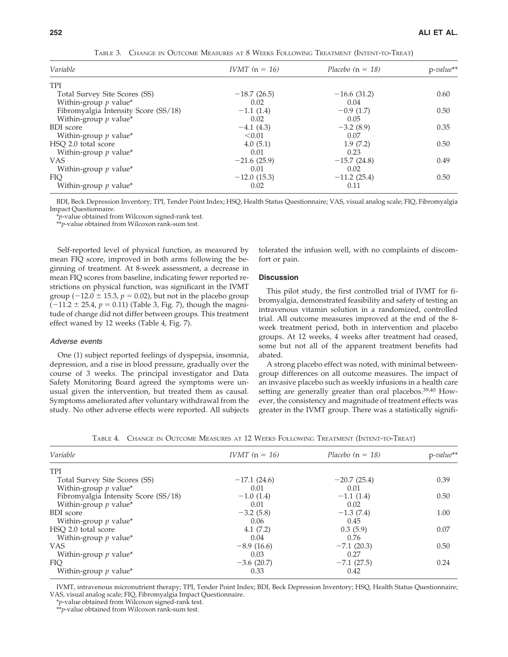| Variable                             | <i>IVMT</i> $(n = 16)$ | Placebo $(n = 18)$ | $p$ -value** |
|--------------------------------------|------------------------|--------------------|--------------|
| <b>TPI</b>                           |                        |                    |              |
| Total Survey Site Scores (SS)        | $-18.7(26.5)$          | $-16.6(31.2)$      | 0.60         |
| Within-group $p$ value*              | 0.02                   | 0.04               |              |
| Fibromyalgia Intensity Score (SS/18) | $-1.1(1.4)$            | $-0.9(1.7)$        | 0.50         |
| Within-group $p$ value*              | 0.02                   | 0.05               |              |
| <b>BDI</b> score                     | $-4.1(4.3)$            | $-3.2$ (8.9)       | 0.35         |
| Within-group $p$ value*              | < 0.01                 | 0.07               |              |
| HSQ 2.0 total score                  | 4.0(5.1)               | 1.9(7.2)           | 0.50         |
| Within-group $p$ value*              | 0.01                   | 0.23               |              |
| <b>VAS</b>                           | $-21.6(25.9)$          | $-15.7(24.8)$      | 0.49         |
| Within-group $p$ value*              | 0.01                   | 0.02               |              |
| <b>FIO</b>                           | $-12.0(15.3)$          | $-11.2(25.4)$      | 0.50         |
| Within-group $p$ value*              | 0.02                   | 0.11               |              |

TABLE 3. CHANGE IN OUTCOME MEASURES AT 8 WEEKS FOLLOWING TREATMENT (INTENT-TO-TREAT)

BDI, Beck Depression Inventory; TPI, Tender Point Index; HSQ, Health Status Questionnaire; VAS, visual analog scale; FIQ, Fibromyalgia Impact Questionnaire.

\**p*-value obtained from Wilcoxon signed-rank test.

\*\**p*-value obtained from Wilcoxon rank-sum test.

Self-reported level of physical function, as measured by mean FIQ score, improved in both arms following the beginning of treatment. At 8-week assessment, a decrease in mean FIQ scores from baseline, indicating fewer reported restrictions on physical function, was significant in the IVMT group  $(-12.0 \pm 15.3, p = 0.02)$ , but not in the placebo group  $(-11.2 \pm 25.4, p = 0.11)$  (Table 3, Fig. 7), though the magnitude of change did not differ between groups. This treatment effect waned by 12 weeks (Table 4, Fig. 7).

## *Adverse events*

One (1) subject reported feelings of dyspepsia, insomnia, depression, and a rise in blood pressure, gradually over the course of 3 weeks. The principal investigator and Data Safety Monitoring Board agreed the symptoms were unusual given the intervention, but treated them as causal. Symptoms ameliorated after voluntary withdrawal from the study. No other adverse effects were reported. All subjects tolerated the infusion well, with no complaints of discomfort or pain.

#### **Discussion**

This pilot study, the first controlled trial of IVMT for fibromyalgia, demonstrated feasibility and safety of testing an intravenous vitamin solution in a randomized, controlled trial. All outcome measures improved at the end of the 8 week treatment period, both in intervention and placebo groups. At 12 weeks, 4 weeks after treatment had ceased, some but not all of the apparent treatment benefits had abated.

A strong placebo effect was noted, with minimal betweengroup differences on all outcome measures. The impact of an invasive placebo such as weekly infusions in a health care setting are generally greater than oral placebos.<sup>39,40</sup> However, the consistency and magnitude of treatment effects was greater in the IVMT group. There was a statistically signifi-

|  | TABLE 4. CHANGE IN OUTCOME MEASURES AT 12 WEEKS FOLLOWING TREATMENT (INTENT-TO-TREAT) |  |  |  |  |  |  |
|--|---------------------------------------------------------------------------------------|--|--|--|--|--|--|
|--|---------------------------------------------------------------------------------------|--|--|--|--|--|--|

| Variable                             | <i>IVMT</i> $(n = 16)$ | Placebo $(n = 18)$ | $p$ -value** |
|--------------------------------------|------------------------|--------------------|--------------|
| <b>TPI</b>                           |                        |                    |              |
| Total Survey Site Scores (SS)        | $-17.1(24.6)$          | $-20.7(25.4)$      | 0.39         |
| Within-group $p$ value*              | 0.01                   | 0.01               |              |
| Fibromyalgia Intensity Score (SS/18) | $-1.0(1.4)$            | $-1.1(1.4)$        | 0.50         |
| Within-group $p$ value*              | 0.01                   | 0.02               |              |
| <b>BDI</b> score                     | $-3.2(5.8)$            | $-1.3(7.4)$        | 1.00         |
| Within-group $p$ value*              | 0.06                   | 0.45               |              |
| HSQ 2.0 total score                  | 4.1(7.2)               | 0.3(5.9)           | 0.07         |
| Within-group $p$ value*              | 0.04                   | 0.76               |              |
| <b>VAS</b>                           | $-8.9(16.6)$           | $-7.1(20.3)$       | 0.50         |
| Within-group $p$ value*              | 0.03                   | 0.27               |              |
| <b>FIQ</b>                           | $-3.6$ (20.7)          | $-7.1(27.5)$       | 0.24         |
| Within-group $p$ value*              | 0.33                   | 0.42               |              |

IVMT, intravenous micronutrient therapy; TPI, Tender Point Index; BDI, Beck Depression Inventory; HSQ, Health Status Questionnaire; VAS, visual analog scale; FIQ, Fibromyalgia Impact Questionnaire.

\**p*-value obtained from Wilcoxon signed-rank test.

\*\**p*-value obtained from Wilcoxon rank-sum test.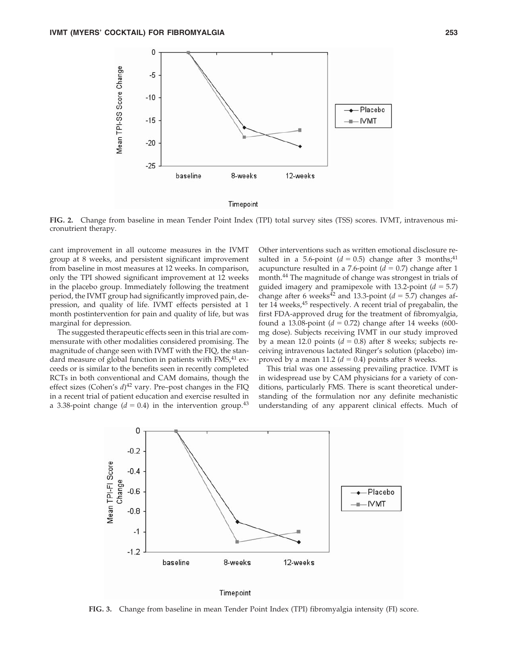

**FIG. 2.** Change from baseline in mean Tender Point Index (TPI) total survey sites (TSS) scores. IVMT, intravenous micronutrient therapy.

cant improvement in all outcome measures in the IVMT group at 8 weeks, and persistent significant improvement from baseline in most measures at 12 weeks. In comparison, only the TPI showed significant improvement at 12 weeks in the placebo group. Immediately following the treatment period, the IVMT group had significantly improved pain, depression, and quality of life. IVMT effects persisted at 1 month postintervention for pain and quality of life, but was marginal for depression.

The suggested therapeutic effects seen in this trial are commensurate with other modalities considered promising. The magnitude of change seen with IVMT with the FIQ, the standard measure of global function in patients with FMS,<sup>41</sup> exceeds or is similar to the benefits seen in recently completed RCTs in both conventional and CAM domains, though the effect sizes (Cohen's  $d$ )<sup>42</sup> vary. Pre–post changes in the FIQ in a recent trial of patient education and exercise resulted in a 3.38-point change  $(d = 0.4)$  in the intervention group.<sup>43</sup>

Other interventions such as written emotional disclosure resulted in a 5.6-point  $(d = 0.5)$  change after 3 months;<sup>41</sup> acupuncture resulted in a 7.6-point  $(d = 0.7)$  change after 1 month.<sup>44</sup> The magnitude of change was strongest in trials of guided imagery and pramipexole with 13.2-point  $(d = 5.7)$ change after 6 weeks<sup> $\bar{4}2$ </sup> and 13.3-point ( $d = 5.7$ ) changes after  $14$  weeks,  $45$  respectively. A recent trial of pregabalin, the first FDA-approved drug for the treatment of fibromyalgia, found a 13.08-point  $(d = 0.72)$  change after 14 weeks (600mg dose). Subjects receiving IVMT in our study improved by a mean 12.0 points  $(d = 0.8)$  after 8 weeks; subjects receiving intravenous lactated Ringer's solution (placebo) improved by a mean 11.2  $(d = 0.4)$  points after 8 weeks.

This trial was one assessing prevailing practice. IVMT is in widespread use by CAM physicians for a variety of conditions, particularly FMS. There is scant theoretical understanding of the formulation nor any definite mechanistic understanding of any apparent clinical effects. Much of



**FIG. 3.** Change from baseline in mean Tender Point Index (TPI) fibromyalgia intensity (FI) score.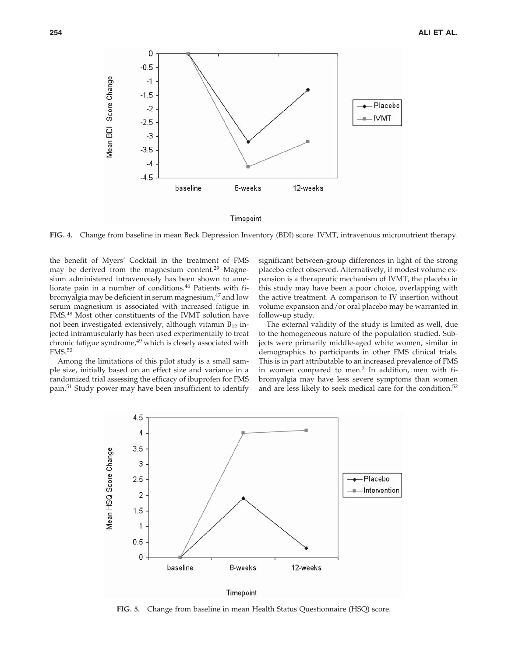

**FIG. 4.** Change from baseline in mean Beck Depression Inventory (BDI) score. IVMT, intravenous micronutrient therapy.

the benefit of Myers' Cocktail in the treatment of FMS may be derived from the magnesium content.<sup>29</sup> Magnesium administered intravenously has been shown to ameliorate pain in a number of conditions.46 Patients with fibromyalgia may be deficient in serum magnesium,<sup>47</sup> and low serum magnesium is associated with increased fatigue in FMS.<sup>48</sup> Most other constituents of the IVMT solution have not been investigated extensively, although vitamin  $B_{12}$  injected intramuscularly has been used experimentally to treat chronic fatigue syndrome, $49$  which is closely associated with FMS.<sup>50</sup>

Among the limitations of this pilot study is a small sample size, initially based on an effect size and variance in a randomized trial assessing the efficacy of ibuprofen for FMS pain.<sup>51</sup> Study power may have been insufficient to identify significant between-group differences in light of the strong placebo effect observed. Alternatively, if modest volume expansion is a therapeutic mechanism of IVMT, the placebo in this study may have been a poor choice, overlapping with the active treatment. A comparison to IV insertion without volume expansion and/or oral placebo may be warranted in follow-up study.

The external validity of the study is limited as well, due to the homogeneous nature of the population studied. Subjects were primarily middle-aged white women, similar in demographics to participants in other FMS clinical trials. This is in part attributable to an increased prevalence of FMS in women compared to men.<sup>2</sup> In addition, men with fibromyalgia may have less severe symptoms than women and are less likely to seek medical care for the condition.<sup>52</sup>



**FIG. 5.** Change from baseline in mean Health Status Questionnaire (HSQ) score.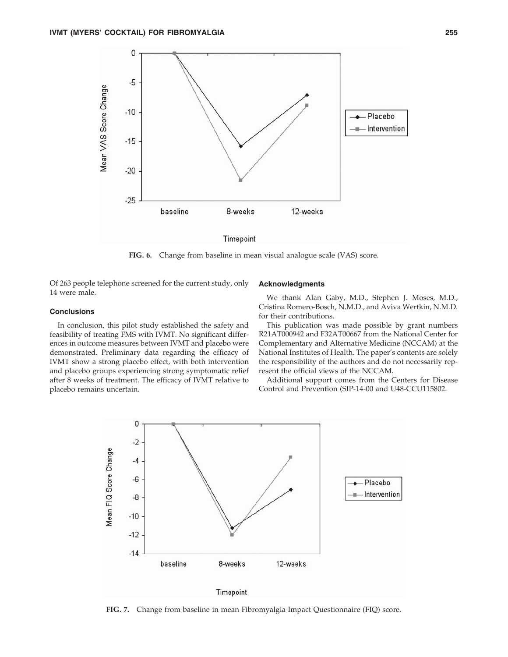

**FIG. 6.** Change from baseline in mean visual analogue scale (VAS) score.

Of 263 people telephone screened for the current study, only 14 were male.

# **Conclusions**

In conclusion, this pilot study established the safety and feasibility of treating FMS with IVMT. No significant differences in outcome measures between IVMT and placebo were demonstrated. Preliminary data regarding the efficacy of IVMT show a strong placebo effect, with both intervention and placebo groups experiencing strong symptomatic relief after 8 weeks of treatment. The efficacy of IVMT relative to placebo remains uncertain.

#### **Acknowledgments**

We thank Alan Gaby, M.D., Stephen J. Moses, M.D., Cristina Romero-Bosch, N.M.D., and Aviva Wertkin, N.M.D. for their contributions.

This publication was made possible by grant numbers R21AT000942 and F32AT00667 from the National Center for Complementary and Alternative Medicine (NCCAM) at the National Institutes of Health. The paper's contents are solely the responsibility of the authors and do not necessarily represent the official views of the NCCAM.

Additional support comes from the Centers for Disease Control and Prevention (SIP-14-00 and U48-CCU115802.



**FIG. 7.** Change from baseline in mean Fibromyalgia Impact Questionnaire (FIQ) score.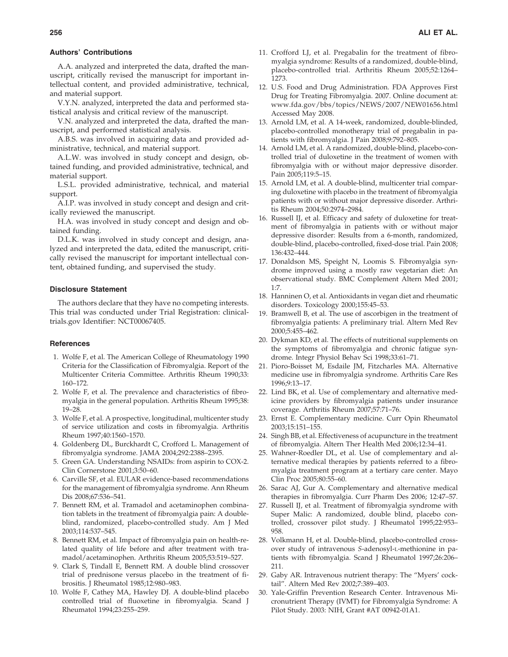# **Authors' Contributions**

A.A. analyzed and interpreted the data, drafted the manuscript, critically revised the manuscript for important intellectual content, and provided administrative, technical, and material support.

V.Y.N. analyzed, interpreted the data and performed statistical analysis and critical review of the manuscript.

V.N. analyzed and interpreted the data, drafted the manuscript, and performed statistical analysis.

A.B.S. was involved in acquiring data and provided administrative, technical, and material support.

A.L.W. was involved in study concept and design, obtained funding, and provided administrative, technical, and material support.

L.S.L. provided administrative, technical, and material support.

A.I.P. was involved in study concept and design and critically reviewed the manuscript.

H.A. was involved in study concept and design and obtained funding.

D.L.K. was involved in study concept and design, analyzed and interpreted the data, edited the manuscript, critically revised the manuscript for important intellectual content, obtained funding, and supervised the study.

# **Disclosure Statement**

The authors declare that they have no competing interests. This trial was conducted under Trial Registration: clinicaltrials.gov Identifier: NCT00067405.

#### **References**

- 1. Wolfe F, et al. The American College of Rheumatology 1990 Criteria for the Classification of Fibromyalgia. Report of the Multicenter Criteria Committee. Arthritis Rheum 1990;33: 160–172.
- 2. Wolfe F, et al. The prevalence and characteristics of fibromyalgia in the general population. Arthritis Rheum 1995;38: 19–28.
- 3. Wolfe F, et al. A prospective, longitudinal, multicenter study of service utilization and costs in fibromyalgia. Arthritis Rheum 1997;40:1560–1570.
- 4. Goldenberg DL, Burckhardt C, Crofford L. Management of fibromyalgia syndrome. JAMA 2004;292:2388–2395.
- 5. Green GA. Understanding NSAIDs: from aspirin to COX-2. Clin Cornerstone 2001;3:50–60.
- 6. Carville SF, et al. EULAR evidence-based recommendations for the management of fibromyalgia syndrome. Ann Rheum Dis 2008;67:536–541.
- 7. Bennett RM, et al. Tramadol and acetaminophen combination tablets in the treatment of fibromyalgia pain: A doubleblind, randomized, placebo-controlled study. Am J Med 2003;114:537–545.
- 8. Bennett RM, et al. Impact of fibromyalgia pain on health-related quality of life before and after treatment with tramadol/acetaminophen. Arthritis Rheum 2005;53:519–527.
- 9. Clark S, Tindall E, Bennett RM. A double blind crossover trial of prednisone versus placebo in the treatment of fibrositis. J Rheumatol 1985;12:980–983.
- 10. Wolfe F, Cathey MA, Hawley DJ. A double-blind placebo controlled trial of fluoxetine in fibromyalgia. Scand J Rheumatol 1994;23:255–259.
- 11. Crofford LJ, et al. Pregabalin for the treatment of fibromyalgia syndrome: Results of a randomized, double-blind, placebo-controlled trial. Arthritis Rheum 2005;52:1264– 1273.
- 12. U.S. Food and Drug Administration. FDA Approves First Drug for Treating Fibromyalgia. 2007. Online document at: www.fda.gov/bbs/topics/NEWS/2007/NEW01656.html Accessed May 2008.
- 13. Arnold LM, et al. A 14-week, randomized, double-blinded, placebo-controlled monotherapy trial of pregabalin in patients with fibromyalgia. J Pain 2008;9:792–805.
- 14. Arnold LM, et al. A randomized, double-blind, placebo-controlled trial of duloxetine in the treatment of women with fibromyalgia with or without major depressive disorder. Pain 2005;119:5–15.
- 15. Arnold LM, et al. A double-blind, multicenter trial comparing duloxetine with placebo in the treatment of fibromyalgia patients with or without major depressive disorder. Arthritis Rheum 2004;50:2974–2984.
- 16. Russell IJ, et al. Efficacy and safety of duloxetine for treatment of fibromyalgia in patients with or without major depressive disorder: Results from a 6-month, randomized, double-blind, placebo-controlled, fixed-dose trial. Pain 2008; 136:432–444.
- 17. Donaldson MS, Speight N, Loomis S. Fibromyalgia syndrome improved using a mostly raw vegetarian diet: An observational study. BMC Complement Altern Med 2001; 1:7.
- 18. Hanninen O, et al. Antioxidants in vegan diet and rheumatic disorders. Toxicology 2000;155:45–53.
- 19. Bramwell B, et al. The use of ascorbigen in the treatment of fibromyalgia patients: A preliminary trial. Altern Med Rev 2000;5:455–462.
- 20. Dykman KD, et al. The effects of nutritional supplements on the symptoms of fibromyalgia and chronic fatigue syndrome. Integr Physiol Behav Sci 1998;33:61–71.
- 21. Pioro-Boisset M, Esdaile JM, Fitzcharles MA. Alternative medicine use in fibromyalgia syndrome. Arthritis Care Res 1996;9:13–17.
- 22. Lind BK, et al. Use of complementary and alternative medicine providers by fibromyalgia patients under insurance coverage. Arthritis Rheum 2007;57:71–76.
- 23. Ernst E. Complementary medicine. Curr Opin Rheumatol 2003;15:151–155.
- 24. Singh BB, et al. Effectiveness of acupuncture in the treatment of fibromyalgia. Altern Ther Health Med 2006;12:34–41.
- 25. Wahner-Roedler DL, et al. Use of complementary and alternative medical therapies by patients referred to a fibromyalgia treatment program at a tertiary care center. Mayo Clin Proc 2005;80:55–60.
- 26. Sarac AJ, Gur A. Complementary and alternative medical therapies in fibromyalgia. Curr Pharm Des 2006; 12:47–57.
- 27. Russell IJ, et al. Treatment of fibromyalgia syndrome with Super Malic: A randomized, double blind, placebo controlled, crossover pilot study. J Rheumatol 1995;22:953– 958.
- 28. Volkmann H, et al. Double-blind, placebo-controlled crossover study of intravenous *S*-adenosyl-L-methionine in patients with fibromyalgia. Scand J Rheumatol 1997;26:206– 211.
- 29. Gaby AR. Intravenous nutrient therapy: The "Myers' cocktail". Altern Med Rev 2002;7:389–403.
- 30. Yale-Griffin Prevention Research Center. Intravenous Micronutrient Therapy (IVMT) for Fibromyalgia Syndrome: A Pilot Study. 2003: NIH, Grant #AT 00942-01A1.